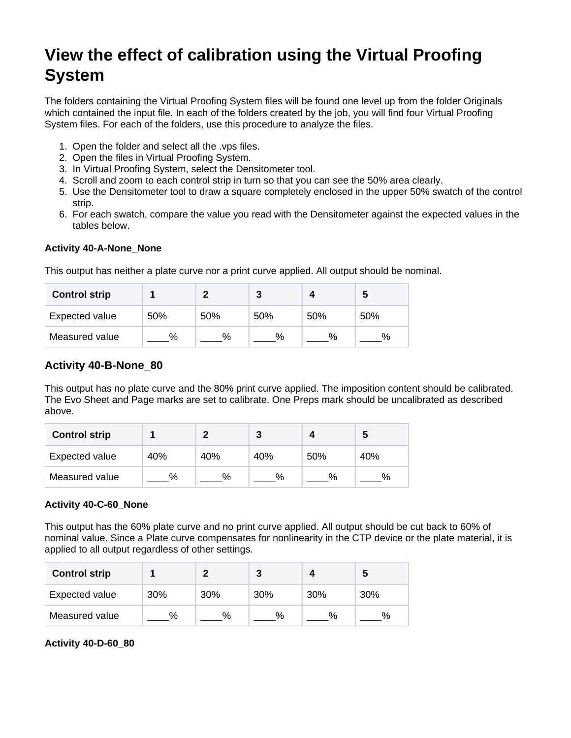# **View the effect of calibration using the Virtual Proofing System**

The folders containing the Virtual Proofing System files will be found one level up from the folder Originals which contained the input file. In each of the folders created by the job, you will find four Virtual Proofing System files. For each of the folders, use this procedure to analyze the files.

- 1. Open the folder and select all the .vps files.
- 2. Open the files in Virtual Proofing System.
- 3. In Virtual Proofing System, select the Densitometer tool.
- 4. Scroll and zoom to each control strip in turn so that you can see the 50% area clearly.
- 5. Use the Densitometer tool to draw a square completely enclosed in the upper 50% swatch of the control strip.
- 6. For each swatch, compare the value you read with the Densitometer against the expected values in the tables below.

#### **Activity 40-A-None\_None**

This output has neither a plate curve nor a print curve applied. All output should be nominal.

| <b>Control strip</b> |      |     |      |     | э   |
|----------------------|------|-----|------|-----|-----|
| Expected value       | 50%  | 50% | 50%  | 50% | 50% |
| Measured value       | $\%$ | %   | $\%$ | %   | %   |

## **Activity 40-B-None\_80**

This output has no plate curve and the 80% print curve applied. The imposition content should be calibrated. The Evo Sheet and Page marks are set to calibrate. One Preps mark should be uncalibrated as described above.

| <b>Control strip</b> |     |     |      |     |      |
|----------------------|-----|-----|------|-----|------|
| Expected value       | 40% | 40% | 40%  | 50% | 40%  |
| Measured value       | %   | %   | $\%$ | %   | $\%$ |

### **Activity 40-C-60\_None**

This output has the 60% plate curve and no print curve applied. All output should be cut back to 60% of nominal value. Since a Plate curve compensates for nonlinearity in the CTP device or the plate material, it is applied to all output regardless of other settings.

| <b>Control strip</b> |      |     | 3    |     | b    |
|----------------------|------|-----|------|-----|------|
| Expected value       | 30%  | 30% | 30%  | 30% | 30%  |
| Measured value       | $\%$ | %   | $\%$ | %   | $\%$ |

**Activity 40-D-60\_80**